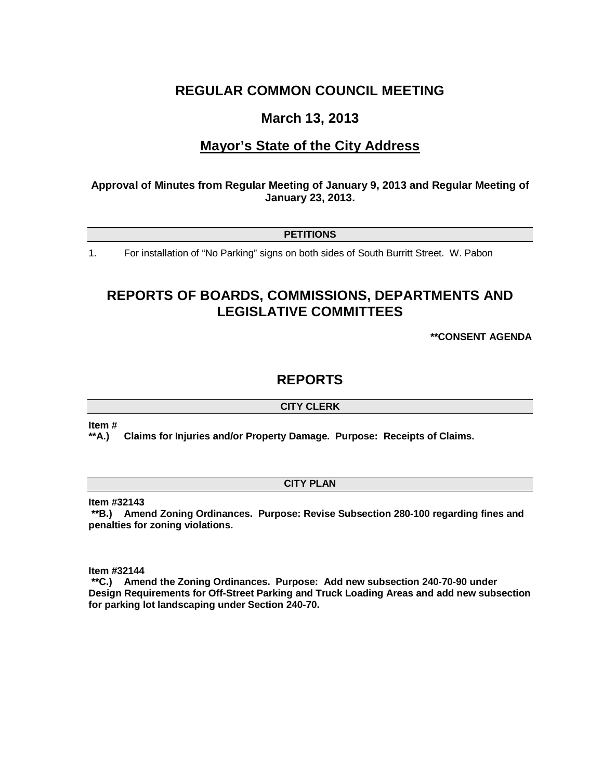# **REGULAR COMMON COUNCIL MEETING**

# **March 13, 2013**

# **Mayor's State of the City Address**

# **Approval of Minutes from Regular Meeting of January 9, 2013 and Regular Meeting of January 23, 2013.**

**PETITIONS**

1. For installation of "No Parking" signs on both sides of South Burritt Street. W. Pabon

# **REPORTS OF BOARDS, COMMISSIONS, DEPARTMENTS AND LEGISLATIVE COMMITTEES**

**\*\*CONSENT AGENDA**

# **REPORTS**

**CITY CLERK**

**Item #**

**\*\*A.) Claims for Injuries and/or Property Damage. Purpose: Receipts of Claims.**

# **CITY PLAN**

**Item #32143**

**\*\*B.) Amend Zoning Ordinances. Purpose: Revise Subsection 280-100 regarding fines and penalties for zoning violations.**

**Item #32144**

**\*\*C.) Amend the Zoning Ordinances. Purpose: Add new subsection 240-70-90 under Design Requirements for Off-Street Parking and Truck Loading Areas and add new subsection for parking lot landscaping under Section 240-70.**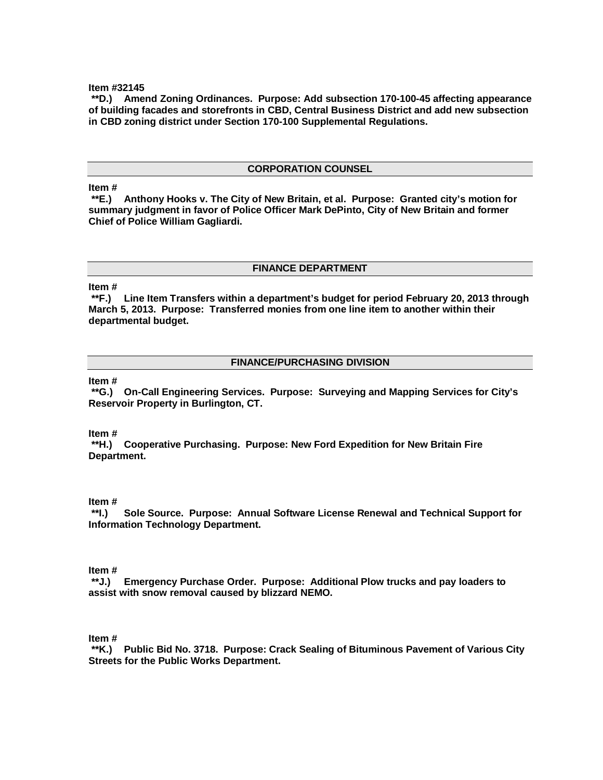#### **Item #32145**

**\*\*D.) Amend Zoning Ordinances. Purpose: Add subsection 170-100-45 affecting appearance of building facades and storefronts in CBD, Central Business District and add new subsection in CBD zoning district under Section 170-100 Supplemental Regulations.**

#### **CORPORATION COUNSEL**

# **Item #**

Anthony Hooks v. The City of New Britain, et al. Purpose: Granted city's motion for **summary judgment in favor of Police Officer Mark DePinto, City of New Britain and former Chief of Police William Gagliardi.** 

### **FINANCE DEPARTMENT**

## **Item #**

**\*\*F.) Line Item Transfers within a department's budget for period February 20, 2013 through March 5, 2013. Purpose: Transferred monies from one line item to another within their departmental budget.**

### **FINANCE/PURCHASING DIVISION**

# **Item #**

**\*\*G.) On-Call Engineering Services. Purpose: Surveying and Mapping Services for City's Reservoir Property in Burlington, CT.**

**Item #**

**\*\*H.) Cooperative Purchasing. Purpose: New Ford Expedition for New Britain Fire Department.** 

#### **Item #**

**\*\*I.) Sole Source. Purpose: Annual Software License Renewal and Technical Support for Information Technology Department.**

**Item #**

**\*\*J.) Emergency Purchase Order. Purpose: Additional Plow trucks and pay loaders to assist with snow removal caused by blizzard NEMO.** 

**Item #**

**\*\*K.) Public Bid No. 3718. Purpose: Crack Sealing of Bituminous Pavement of Various City Streets for the Public Works Department.**